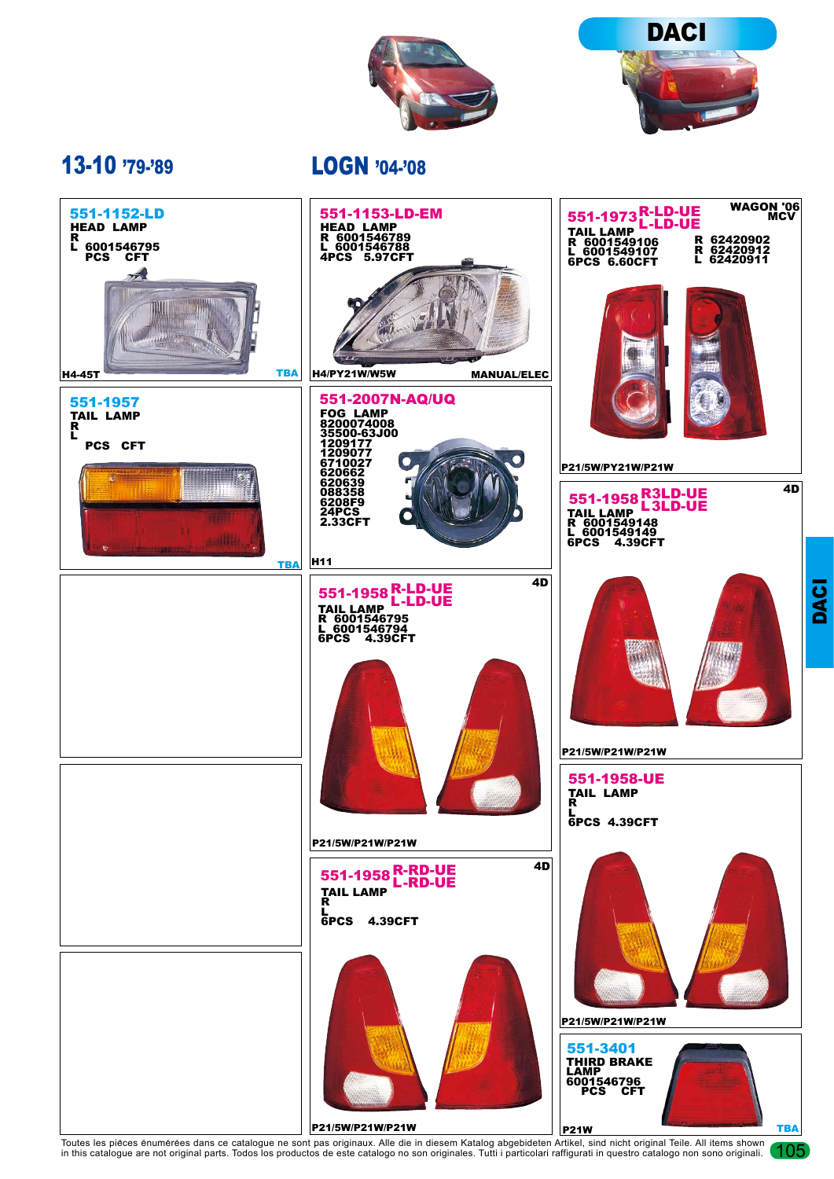



105

## 13-10 '79-'89

LOGN '04-'08



Toutes les pièces énumérées dans ce catalogue ne sont pas originaux. Alle die in diesem Katalog abgebideten Artikel, sind nicht original Teile. All items shown in this catalogue are not original parts. Todos los productos de este catalogo no son originales. Tutti i particolari raffigurati in questro catalogo non sono originali.